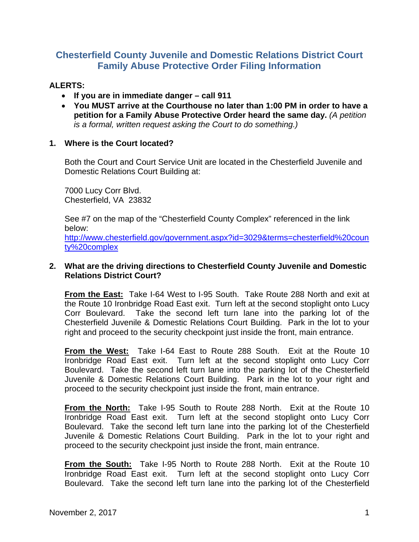# **Chesterfield County Juvenile and Domestic Relations District Court Family Abuse Protective Order Filing Information**

# **ALERTS:**

- **If you are in immediate danger call 911**
- **You MUST arrive at the Courthouse no later than 1:00 PM in order to have a petition for a Family Abuse Protective Order heard the same day.** *(A petition is a formal, written request asking the Court to do something.)*

## **1. Where is the Court located?**

Both the Court and Court Service Unit are located in the Chesterfield Juvenile and Domestic Relations Court Building at:

7000 Lucy Corr Blvd. Chesterfield, VA 23832

See #7 on the map of the "Chesterfield County Complex" referenced in the link below:

http://www.chesterfield.gov/government.aspx?id=3029&terms=chesterfield%20coun ty%20complex

## **2. What are the driving directions to Chesterfield County Juvenile and Domestic Relations District Court?**

**From the East:** Take I-64 West to I-95 South. Take Route 288 North and exit at the Route 10 Ironbridge Road East exit. Turn left at the second stoplight onto Lucy Corr Boulevard. Take the second left turn lane into the parking lot of the Chesterfield Juvenile & Domestic Relations Court Building. Park in the lot to your right and proceed to the security checkpoint just inside the front, main entrance.

**From the West:** Take I-64 East to Route 288 South. Exit at the Route 10 Ironbridge Road East exit. Turn left at the second stoplight onto Lucy Corr Boulevard. Take the second left turn lane into the parking lot of the Chesterfield Juvenile & Domestic Relations Court Building. Park in the lot to your right and proceed to the security checkpoint just inside the front, main entrance.

**From the North:** Take I-95 South to Route 288 North. Exit at the Route 10 Ironbridge Road East exit. Turn left at the second stoplight onto Lucy Corr Boulevard. Take the second left turn lane into the parking lot of the Chesterfield Juvenile & Domestic Relations Court Building. Park in the lot to your right and proceed to the security checkpoint just inside the front, main entrance.

**From the South:** Take I-95 North to Route 288 North. Exit at the Route 10 Ironbridge Road East exit. Turn left at the second stoplight onto Lucy Corr Boulevard. Take the second left turn lane into the parking lot of the Chesterfield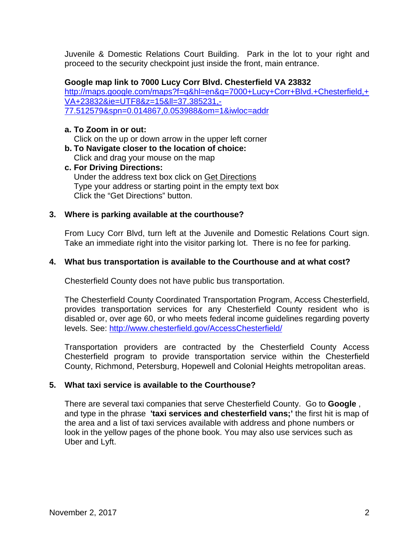Juvenile & Domestic Relations Court Building. Park in the lot to your right and proceed to the security checkpoint just inside the front, main entrance.

## **Google map link to 7000 Lucy Corr Blvd. Chesterfield VA 23832**

http://maps.google.com/maps?f=q&hl=en&q=7000+Lucy+Corr+Blvd.+Chesterfield,+ VA+23832&ie=UTF8&z=15&ll=37.385231,- 77.512579&spn=0.014867,0.053988&om=1&iwloc=addr

## **a. To Zoom in or out:**

Click on the up or down arrow in the upper left corner

- **b. To Navigate closer to the location of choice:**  Click and drag your mouse on the map
- **c. For Driving Directions:**  Under the address text box click on Get Directions Type your address or starting point in the empty text box Click the "Get Directions" button.

## **3. Where is parking available at the courthouse?**

From Lucy Corr Blvd, turn left at the Juvenile and Domestic Relations Court sign. Take an immediate right into the visitor parking lot. There is no fee for parking.

## **4. What bus transportation is available to the Courthouse and at what cost?**

Chesterfield County does not have public bus transportation.

The Chesterfield County Coordinated Transportation Program, Access Chesterfield, provides transportation services for any Chesterfield County resident who is disabled or, over age 60, or who meets federal income guidelines regarding poverty levels. See: http://www.chesterfield.gov/AccessChesterfield/

Transportation providers are contracted by the Chesterfield County Access Chesterfield program to provide transportation service within the Chesterfield County, Richmond, Petersburg, Hopewell and Colonial Heights metropolitan areas.

#### **5. What taxi service is available to the Courthouse?**

There are several taxi companies that serve Chesterfield County. Go to **Google** , and type in the phrase **'taxi services and chesterfield vans;'** the first hit is map of the area and a list of taxi services available with address and phone numbers or look in the yellow pages of the phone book. You may also use services such as Uber and Lyft.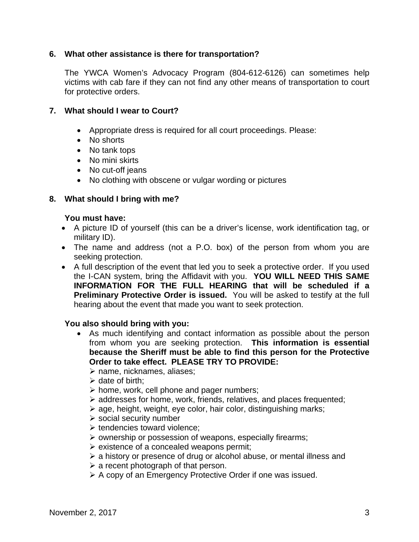## **6. What other assistance is there for transportation?**

The YWCA Women's Advocacy Program (804-612-6126) can sometimes help victims with cab fare if they can not find any other means of transportation to court for protective orders.

## **7. What should I wear to Court?**

- Appropriate dress is required for all court proceedings. Please:
- No shorts
- No tank tops
- No mini skirts
- No cut-off jeans
- No clothing with obscene or vulgar wording or pictures

# **8. What should I bring with me?**

## **You must have:**

- A picture ID of yourself (this can be a driver's license, work identification tag, or military ID).
- The name and address (not a P.O. box) of the person from whom you are seeking protection.
- A full description of the event that led you to seek a protective order. If you used the I-CAN system, bring the Affidavit with you. **YOU WILL NEED THIS SAME INFORMATION FOR THE FULL HEARING that will be scheduled if a Preliminary Protective Order is issued.** You will be asked to testify at the full hearing about the event that made you want to seek protection.

## **You also should bring with you:**

- As much identifying and contact information as possible about the person from whom you are seeking protection. **This information is essential because the Sheriff must be able to find this person for the Protective Order to take effect. PLEASE TRY TO PROVIDE:**
	- $\triangleright$  name, nicknames, aliases;
	- $\triangleright$  date of birth;
	- $\triangleright$  home, work, cell phone and pager numbers;
	- addresses for home, work, friends, relatives, and places frequented;
	- $\geq$  age, height, weight, eye color, hair color, distinguishing marks;
	- $\triangleright$  social security number
	- $\triangleright$  tendencies toward violence;
	- $\triangleright$  ownership or possession of weapons, especially firearms;
	- $\triangleright$  existence of a concealed weapons permit;
	- $\geq$  a history or presence of drug or alcohol abuse, or mental illness and
	- $\triangleright$  a recent photograph of that person.
	- A copy of an Emergency Protective Order if one was issued.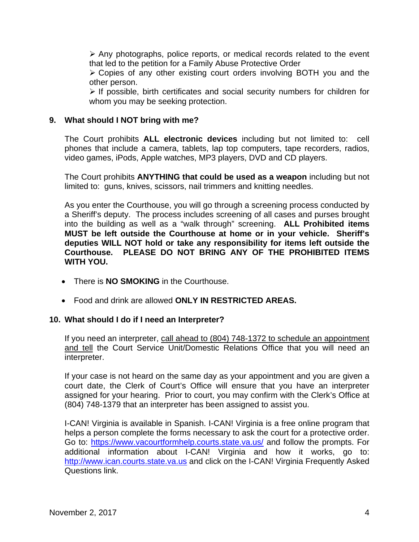$\triangleright$  Any photographs, police reports, or medical records related to the event that led to the petition for a Family Abuse Protective Order

 Copies of any other existing court orders involving BOTH you and the other person.

 $\triangleright$  If possible, birth certificates and social security numbers for children for whom you may be seeking protection.

## **9. What should I NOT bring with me?**

The Court prohibits **ALL electronic devices** including but not limited to: cell phones that include a camera, tablets, lap top computers, tape recorders, radios, video games, iPods, Apple watches, MP3 players, DVD and CD players.

The Court prohibits **ANYTHING that could be used as a weapon** including but not limited to: guns, knives, scissors, nail trimmers and knitting needles.

As you enter the Courthouse, you will go through a screening process conducted by a Sheriff's deputy. The process includes screening of all cases and purses brought into the building as well as a "walk through" screening. **ALL Prohibited items MUST be left outside the Courthouse at home or in your vehicle. Sheriff's deputies WILL NOT hold or take any responsibility for items left outside the Courthouse. PLEASE DO NOT BRING ANY OF THE PROHIBITED ITEMS WITH YOU.** 

- There is **NO SMOKING** in the Courthouse.
- Food and drink are allowed **ONLY IN RESTRICTED AREAS.**

## **10. What should I do if I need an Interpreter?**

If you need an interpreter, call ahead to (804) 748-1372 to schedule an appointment and tell the Court Service Unit/Domestic Relations Office that you will need an interpreter.

If your case is not heard on the same day as your appointment and you are given a court date, the Clerk of Court's Office will ensure that you have an interpreter assigned for your hearing. Prior to court, you may confirm with the Clerk's Office at (804) 748-1379 that an interpreter has been assigned to assist you.

I-CAN! Virginia is available in Spanish. I-CAN! Virginia is a free online program that helps a person complete the forms necessary to ask the court for a protective order. Go to: https://www.vacourtformhelp.courts.state.va.us/ and follow the prompts. For additional information about I-CAN! Virginia and how it works, go to: http://www.ican.courts.state.va.us and click on the I-CAN! Virginia Frequently Asked Questions link.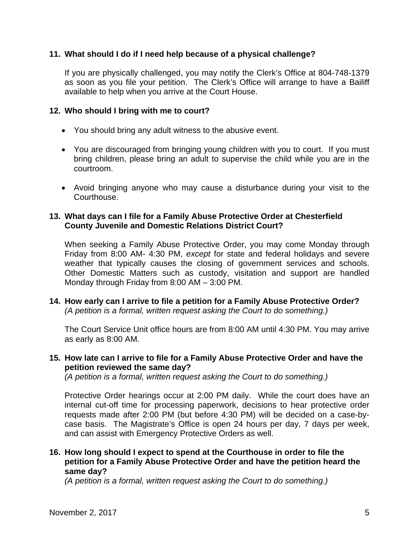## **11. What should I do if I need help because of a physical challenge?**

If you are physically challenged, you may notify the Clerk's Office at 804-748-1379 as soon as you file your petition. The Clerk's Office will arrange to have a Bailiff available to help when you arrive at the Court House.

#### **12. Who should I bring with me to court?**

- You should bring any adult witness to the abusive event.
- You are discouraged from bringing young children with you to court. If you must bring children, please bring an adult to supervise the child while you are in the courtroom.
- Avoid bringing anyone who may cause a disturbance during your visit to the Courthouse.

## **13. What days can I file for a Family Abuse Protective Order at Chesterfield County Juvenile and Domestic Relations District Court?**

When seeking a Family Abuse Protective Order, you may come Monday through Friday from 8:00 AM- 4:30 PM, *except* for state and federal holidays and severe weather that typically causes the closing of government services and schools. Other Domestic Matters such as custody, visitation and support are handled Monday through Friday from 8:00 AM – 3:00 PM.

**14. How early can I arrive to file a petition for a Family Abuse Protective Order?** *(A petition is a formal, written request asking the Court to do something.)* 

The Court Service Unit office hours are from 8:00 AM until 4:30 PM. You may arrive as early as 8:00 AM.

## **15. How late can I arrive to file for a Family Abuse Protective Order and have the petition reviewed the same day?**

*(A petition is a formal, written request asking the Court to do something.)*

Protective Order hearings occur at 2:00 PM daily. While the court does have an internal cut-off time for processing paperwork, decisions to hear protective order requests made after 2:00 PM (but before 4:30 PM) will be decided on a case-bycase basis. The Magistrate's Office is open 24 hours per day, 7 days per week, and can assist with Emergency Protective Orders as well.

# **16. How long should I expect to spend at the Courthouse in order to file the petition for a Family Abuse Protective Order and have the petition heard the same day?**

*(A petition is a formal, written request asking the Court to do something.)*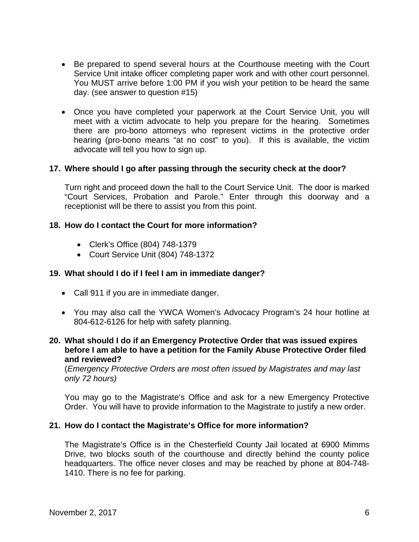- Be prepared to spend several hours at the Courthouse meeting with the Court Service Unit intake officer completing paper work and with other court personnel. You MUST arrive before 1:00 PM if you wish your petition to be heard the same day. (see answer to question #15)
- Once you have completed your paperwork at the Court Service Unit, you will meet with a victim advocate to help you prepare for the hearing. Sometimes there are pro-bono attorneys who represent victims in the protective order hearing (pro-bono means "at no cost" to you). If this is available, the victim advocate will tell you how to sign up.

## **17. Where should I go after passing through the security check at the door?**

Turn right and proceed down the hall to the Court Service Unit. The door is marked "Court Services, Probation and Parole." Enter through this doorway and a receptionist will be there to assist you from this point.

## **18. How do I contact the Court for more information?**

- Clerk's Office (804) 748-1379
- Court Service Unit (804) 748-1372

## **19. What should I do if I feel I am in immediate danger?**

- Call 911 if you are in immediate danger.
- You may also call the YWCA Women's Advocacy Program's 24 hour hotline at 804-612-6126 for help with safety planning.
- **20. What should I do if an Emergency Protective Order that was issued expires before I am able to have a petition for the Family Abuse Protective Order filed and reviewed?**

(*Emergency Protective Orders are most often issued by Magistrates and may last only 72 hours)*

You may go to the Magistrate's Office and ask for a new Emergency Protective Order. You will have to provide information to the Magistrate to justify a new order.

## **21. How do I contact the Magistrate's Office for more information?**

The Magistrate's Office is in the Chesterfield County Jail located at 6900 Mimms Drive, two blocks south of the courthouse and directly behind the county police headquarters. The office never closes and may be reached by phone at 804-748- 1410. There is no fee for parking.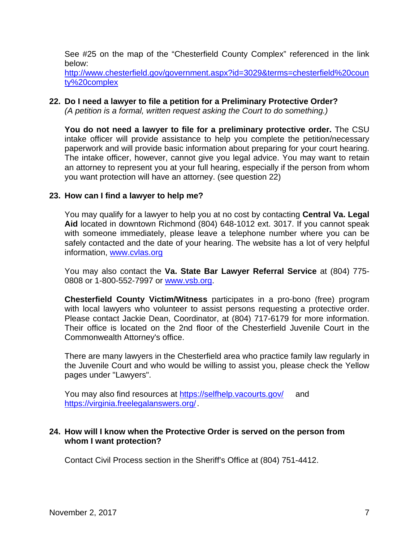See #25 on the map of the "Chesterfield County Complex" referenced in the link below:

http://www.chesterfield.gov/government.aspx?id=3029&terms=chesterfield%20coun ty%20complex

## **22. Do I need a lawyer to file a petition for a Preliminary Protective Order?**

*(A petition is a formal, written request asking the Court to do something.)*

**You do not need a lawyer to file for a preliminary protective order.** The CSU intake officer will provide assistance to help you complete the petition/necessary paperwork and will provide basic information about preparing for your court hearing. The intake officer, however, cannot give you legal advice. You may want to retain an attorney to represent you at your full hearing, especially if the person from whom you want protection will have an attorney. (see question 22)

## **23. How can I find a lawyer to help me?**

You may qualify for a lawyer to help you at no cost by contacting **Central Va. Legal Aid** located in downtown Richmond (804) 648-1012 ext. 3017. If you cannot speak with someone immediately, please leave a telephone number where you can be safely contacted and the date of your hearing. The website has a lot of very helpful information, www.cvlas.org

You may also contact the **Va. State Bar Lawyer Referral Service** at (804) 775- 0808 or 1-800-552-7997 or www.vsb.org.

**Chesterfield County Victim/Witness** participates in a pro-bono (free) program with local lawyers who volunteer to assist persons requesting a protective order. Please contact Jackie Dean, Coordinator, at (804) 717-6179 for more information. Their office is located on the 2nd floor of the Chesterfield Juvenile Court in the Commonwealth Attorney's office.

There are many lawyers in the Chesterfield area who practice family law regularly in the Juvenile Court and who would be willing to assist you, please check the Yellow pages under "Lawyers".

You may also find resources at https://selfhelp.vacourts.gov/ and https://virginia.freelegalanswers.org/ .

## **24. How will I know when the Protective Order is served on the person from whom I want protection?**

Contact Civil Process section in the Sheriff's Office at (804) 751-4412.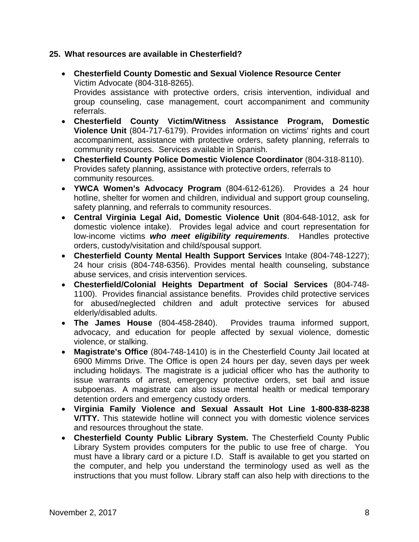## **25. What resources are available in Chesterfield?**

- **Chesterfield County Domestic and Sexual Violence Resource Center**  Victim Advocate (804-318-8265). Provides assistance with protective orders, crisis intervention, individual and group counseling, case management, court accompaniment and community referrals.
- **Chesterfield County Victim/Witness Assistance Program, Domestic Violence Unit** (804-717-6179). Provides information on victims' rights and court accompaniment, assistance with protective orders, safety planning, referrals to community resources. Services available in Spanish.
- **Chesterfield County Police Domestic Violence Coordinator** (804-318-8110). Provides safety planning, assistance with protective orders, referrals to community resources.
- **YWCA Women's Advocacy Program** (804-612-6126). Provides a 24 hour hotline, shelter for women and children, individual and support group counseling, safety planning, and referrals to community resources.
- **Central Virginia Legal Aid, Domestic Violence Unit** (804-648-1012, ask for domestic violence intake). Provides legal advice and court representation for low-income victims *who meet eligibility requirements*. Handles protective orders, custody/visitation and child/spousal support.
- **Chesterfield County Mental Health Support Services** Intake (804-748-1227); 24 hour crisis (804-748-6356). Provides mental health counseling, substance abuse services, and crisis intervention services.
- **Chesterfield/Colonial Heights Department of Social Services** (804-748- 1100). Provides financial assistance benefits. Provides child protective services for abused/neglected children and adult protective services for abused elderly/disabled adults.
- **The James House** (804-458-2840). Provides trauma informed support, advocacy, and education for people affected by sexual violence, domestic violence, or stalking.
- **Magistrate's Office** (804-748-1410) is in the Chesterfield County Jail located at 6900 Mimms Drive. The Office is open 24 hours per day, seven days per week including holidays. The magistrate is a judicial officer who has the authority to issue warrants of arrest, emergency protective orders, set bail and issue subpoenas. A magistrate can also issue mental health or medical temporary detention orders and emergency custody orders.
- **Virginia Family Violence and Sexual Assault Hot Line 1-800-838-8238 V/TTY.** This statewide hotline will connect you with domestic violence services and resources throughout the state.
- **Chesterfield County Public Library System.** The Chesterfield County Public Library System provides computers for the public to use free of charge. You must have a library card or a picture I.D. Staff is available to get you started on the computer, and help you understand the terminology used as well as the instructions that you must follow. Library staff can also help with directions to the